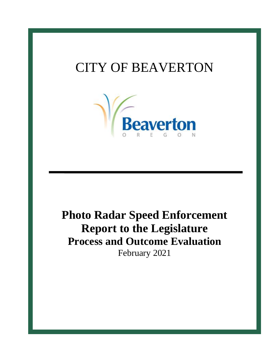# CITY OF BEAVERTON



# **Photo Radar Speed Enforcement Report to the Legislature Process and Outcome Evaluation** February 2021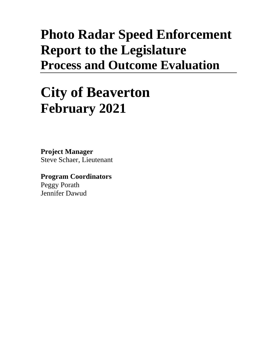# **Photo Radar Speed Enforcement Report to the Legislature Process and Outcome Evaluation**

# **City of Beaverton February 2021**

**Project Manager** Steve Schaer, Lieutenant

**Program Coordinators** Peggy Porath Jennifer Dawud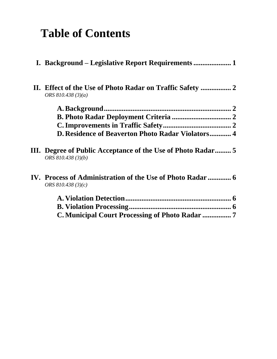# **Table of Contents**

| ORS $810.438(3)(a)$                                                                |  |
|------------------------------------------------------------------------------------|--|
|                                                                                    |  |
|                                                                                    |  |
|                                                                                    |  |
| D. Residence of Beaverton Photo Radar Violators 4                                  |  |
| III. Degree of Public Acceptance of the Use of Photo Radar 5<br>ORS 810.438 (3)(b) |  |
| IV. Process of Administration of the Use of Photo Radar  6<br>ORS $810.438(3)(c)$  |  |
|                                                                                    |  |
|                                                                                    |  |
| <b>C. Municipal Court Processing of Photo Radar </b> 7                             |  |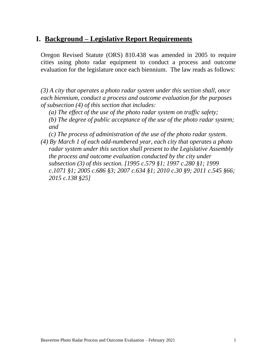# **I. Background – Legislative Report Requirements**

Oregon Revised Statute (ORS) 810.438 was amended in 2005 to require cities using photo radar equipment to conduct a process and outcome evaluation for the legislature once each biennium. The law reads as follows:

*(3) A city that operates a photo radar system under this section shall, once each biennium, conduct a process and outcome evaluation for the purposes of subsection (4) of this section that includes:*

*(a) The effect of the use of the photo radar system on traffic safety; (b) The degree of public acceptance of the use of the photo radar system; and*

- *(c) The process of administration of the use of the photo radar system.*
- *(4) By March 1 of each odd-numbered year, each city that operates a photo radar system under this section shall present to the Legislative Assembly the process and outcome evaluation conducted by the city under subsection (3) of this section. [1995 c.579 §1; 1997 c.280 §1; 1999 c.1071 §1; 2005 c.686 §3; 2007 c.634 §1; 2010 c.30 §9; 2011 c.545 §66; 2015 c.138 §25]*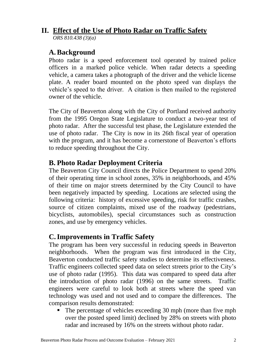# **II. Effect of the Use of Photo Radar on Traffic Safety**

*ORS 810.438 (3)(a)*

## **A.Background**

Photo radar is a speed enforcement tool operated by trained police officers in a marked police vehicle. When radar detects a speeding vehicle, a camera takes a photograph of the driver and the vehicle license plate. A reader board mounted on the photo speed van displays the vehicle's speed to the driver. A citation is then mailed to the registered owner of the vehicle.

The City of Beaverton along with the City of Portland received authority from the 1995 Oregon State Legislature to conduct a two-year test of photo radar. After the successful test phase, the Legislature extended the use of photo radar. The City is now in its 26th fiscal year of operation with the program, and it has become a cornerstone of Beaverton's efforts to reduce speeding throughout the City.

# **B. Photo Radar Deployment Criteria**

The Beaverton City Council directs the Police Department to spend 20% of their operating time in school zones, 35% in neighborhoods, and 45% of their time on major streets determined by the City Council to have been negatively impacted by speeding. Locations are selected using the following criteria: history of excessive speeding, risk for traffic crashes, source of citizen complaints, mixed use of the roadway (pedestrians, bicyclists, automobiles), special circumstances such as construction zones, and use by emergency vehicles.

# **C.Improvements in Traffic Safety**

The program has been very successful in reducing speeds in Beaverton neighborhoods. When the program was first introduced in the City, Beaverton conducted traffic safety studies to determine its effectiveness. Traffic engineers collected speed data on select streets prior to the City's use of photo radar (1995). This data was compared to speed data after the introduction of photo radar (1996) on the same streets. Traffic engineers were careful to look both at streets where the speed van technology was used and not used and to compare the differences. The comparison results demonstrated:

■ The percentage of vehicles exceeding 30 mph (more than five mph) over the posted speed limit) declined by 28% on streets with photo radar and increased by 16% on the streets without photo radar.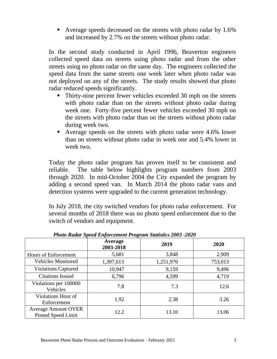■ Average speeds decreased on the streets with photo radar by 1.6% and increased by 2.7% on the streets without photo radar.

In the second study conducted in April 1996, Beaverton engineers collected speed data on streets using photo radar and from the other streets using no photo radar on the same day. The engineers collected the speed data from the same streets one week later when photo radar was not deployed on any of the streets. The study results showed that photo radar reduced speeds significantly.

- Thirty-nine percent fewer vehicles exceeded 30 mph on the streets with photo radar than on the streets without photo radar during week one. Forty-five percent fewer vehicles exceeded 30 mph on the streets with photo radar than on the streets without photo radar during week two.
- Average speeds on the streets with photo radar were 4.6% lower than on streets without photo radar in week one and 5.4% lower in week two.

Today the photo radar program has proven itself to be consistent and reliable. The table below highlights program numbers from 2003 through 2020. In mid-October 2004 the City expanded the program by adding a second speed van. In March 2014 the photo radar vans and detection systems were upgraded to the current generation technology.

In July 2018, the city switched vendors for photo radar enforcement. For several months of 2018 there was no photo speed enforcement due to the switch of vendors and equipment.

|                                                  | $\bullet$<br>Average<br>2003-2018 | 2019      | 2020    |
|--------------------------------------------------|-----------------------------------|-----------|---------|
| Hours of Enforcement                             | 5,681                             | 3,848     | 2,909   |
| <b>Vehicles Monitored</b>                        | 1,397,613                         | 1,251,970 | 753,013 |
| <b>Violations Captured</b>                       | 10,947                            | 9,159     | 9,496   |
| <b>Citations Issued</b>                          | 6,796                             | 4,599     | 4,719   |
| Violations per 100000<br>Vehicles                | 7.8                               | 7.3       | 12.6    |
| Violations Hour of<br>Enforcement                | 1.92                              | 2.38      | 3.26    |
| <b>Average Amount OVER</b><br>Posted Speed Limit | 12.2                              | 13.10     | 13.06   |

 *Photo Radar Speed Enforcement Program Statistics 2003 -2020*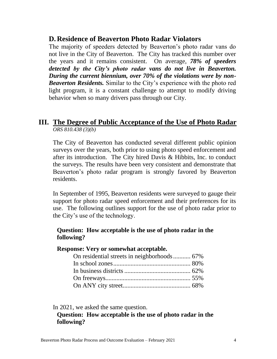#### **D. Residence of Beaverton Photo Radar Violators**

The majority of speeders detected by Beaverton's photo radar vans do not live in the City of Beaverton. The City has tracked this number over the years and it remains consistent. On average, *78% of speeders detected by the City's photo radar vans do not live in Beaverton. During the current biennium, over 70% of the violations were by non-Beaverton Residents.* Similar to the City's experience with the photo red light program, it is a constant challenge to attempt to modify driving behavior when so many drivers pass through our City.

#### **III. The Degree of Public Acceptance of the Use of Photo Radar**  *ORS 810.438 (3)(b)*

The City of Beaverton has conducted several different public opinion surveys over the years, both prior to using photo speed enforcement and after its introduction. The City hired Davis & Hibbits, Inc. to conduct the surveys. The results have been very consistent and demonstrate that Beaverton's photo radar program is strongly favored by Beaverton residents.

In September of 1995, Beaverton residents were surveyed to gauge their support for photo radar speed enforcement and their preferences for its use. The following outlines support for the use of photo radar prior to the City's use of the technology.

#### **Question: How acceptable is the use of photo radar in the following?**

#### **Response: Very or somewhat acceptable.**

In 2021, we asked the same question.

#### **Question: How acceptable is the use of photo radar in the following?**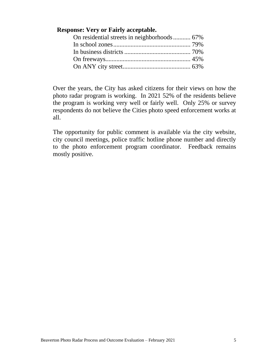#### **Response: Very or Fairly acceptable.**

Over the years, the City has asked citizens for their views on how the photo radar program is working. In 2021 52% of the residents believe the program is working very well or fairly well. Only 25% or survey respondents do not believe the Cities photo speed enforcement works at all.

The opportunity for public comment is available via the city website, city council meetings, police traffic hotline phone number and directly to the photo enforcement program coordinator. Feedback remains mostly positive.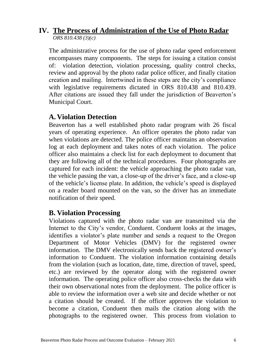#### **IV. The Process of Administration of the Use of Photo Radar** *ORS 810.438 (3)(c)*

The administrative process for the use of photo radar speed enforcement encompasses many components. The steps for issuing a citation consist of: violation detection, violation processing, quality control checks, review and approval by the photo radar police officer, and finally citation creation and mailing. Intertwined in these steps are the city's compliance with legislative requirements dictated in ORS 810.438 and 810.439. After citations are issued they fall under the jurisdiction of Beaverton's Municipal Court.

### **A. Violation Detection**

Beaverton has a well established photo radar program with 26 fiscal years of operating experience. An officer operates the photo radar van when violations are detected. The police officer maintains an observation log at each deployment and takes notes of each violation. The police officer also maintains a check list for each deployment to document that they are following all of the technical procedures. Four photographs are captured for each incident: the vehicle approaching the photo radar van, the vehicle passing the van, a close-up of the driver's face, and a close-up of the vehicle's license plate. In addition, the vehicle's speed is displayed on a reader board mounted on the van, so the driver has an immediate notification of their speed.

### **B. Violation Processing**

Violations captured with the photo radar van are transmitted via the Internet to the City's vendor, Conduent. Conduent looks at the images, identifies a violator's plate number and sends a request to the Oregon Department of Motor Vehicles (DMV) for the registered owner information. The DMV electronically sends back the registered owner's information to Conduent. The violation information containing details from the violation (such as location, date, time, direction of travel, speed, etc.) are reviewed by the operator along with the registered owner information. The operating police officer also cross-checks the data with their own observational notes from the deployment. The police officer is able to review the information over a web site and decide whether or not a citation should be created. If the officer approves the violation to become a citation, Conduent then mails the citation along with the photographs to the registered owner. This process from violation to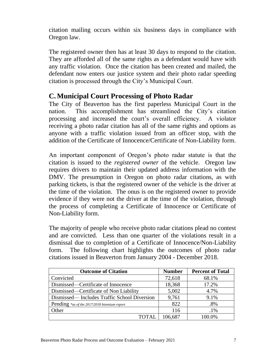citation mailing occurs within six business days in compliance with Oregon law.

The registered owner then has at least 30 days to respond to the citation. They are afforded all of the same rights as a defendant would have with any traffic violation. Once the citation has been created and mailed, the defendant now enters our justice system and their photo radar speeding citation is processed through the City's Municipal Court.

# **C.Municipal Court Processing of Photo Radar**

The City of Beaverton has the first paperless Municipal Court in the nation. This accomplishment has streamlined the City's citation processing and increased the court's overall efficiency. A violator receiving a photo radar citation has all of the same rights and options as anyone with a traffic violation issued from an officer stop, with the addition of the Certificate of Innocence/Certificate of Non-Liability form.

An important component of Oregon's photo radar statute is that the citation is issued to the *registered owner* of the vehicle. Oregon law requires drivers to maintain their updated address information with the DMV. The presumption in Oregon on photo radar citations, as with parking tickets, is that the registered owner of the vehicle is the driver at the time of the violation. The onus is on the registered owner to provide evidence if they were not the driver at the time of the violation, through the process of completing a Certificate of Innocence or Certificate of Non-Liability form.

The majority of people who receive photo radar citations plead no contest and are convicted. Less than one quarter of the violations result in a dismissal due to completion of a Certificate of Innocence/Non-Liability form. The following chart highlights the outcomes of photo radar citations issued in Beaverton from January 2004 - December 2018.

| <b>Outcome of Citation</b>                   | <b>Number</b> | <b>Percent of Total</b> |
|----------------------------------------------|---------------|-------------------------|
| Convicted                                    | 72,618        | 68.1%                   |
| Dismissed—Certificate of Innocence           | 18,368        | 17.2%                   |
| Dismissed—Certificate of Non Liability       | 5,002         | 4.7%                    |
| Dismissed—Includes Traffic School Diversion  | 9,761         | 9.1%                    |
| Pending *as of the 2017/2018 biennium report | 822           | .8%                     |
| Other                                        | 116           | $.1\%$                  |
|                                              | 106,687       | 100.0%                  |